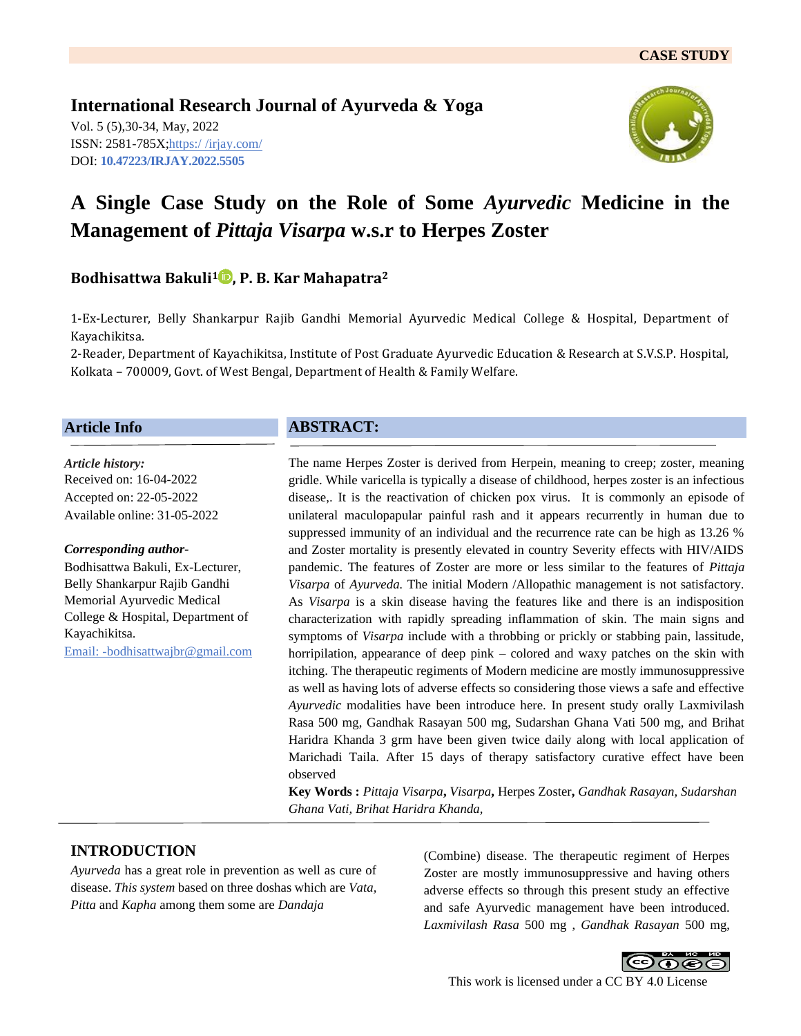**International Research Journal of Ayurveda & Yoga** Vol. 5 (5),30-34, May, 2022 ISSN: 2581-785X; https:/ [/irjay.com/](https://irjay.com/) DOI: **10.47223/IRJAY.2022.5505**



# **A Single Case Study on the Role of Some** *Ayurvedic* **Medicine in the Management of** *Pittaja Visarpa* **w.s.r to Herpes Zoster**

## **Bodhisattwa Bakuli<sup>1</sup> , P. B. Kar Mahapatra<sup>2</sup>**

1-Ex-Lecturer, Belly Shankarpur Rajib Gandhi Memorial Ayurvedic Medical College & Hospital, Department of Kayachikitsa.

2-Reader, Department of Kayachikitsa, Institute of Post Graduate Ayurvedic Education & Research at S.V.S.P. Hospital, Kolkata – 700009, Govt. of West Bengal, Department of Health & Family Welfare.

#### **Article Info**

*Article history:* Received on: 16-04-2022 Accepted on: 22-05-2022 Available online: 31-05-2022

#### *Corresponding author-*

Bodhisattwa Bakuli, Ex-Lecturer, Belly Shankarpur Rajib Gandhi Memorial Ayurvedic Medical College & Hospital, Department of Kayachikitsa. Email: -bodhisattwajbr@gmail.com

## **ABSTRACT:**

The name Herpes Zoster is derived from Herpein, meaning to creep; zoster, meaning gridle. While varicella is typically a disease of childhood, herpes zoster is an infectious disease,. It is the reactivation of chicken pox virus. It is commonly an episode of unilateral maculopapular painful rash and it appears recurrently in human due to suppressed immunity of an individual and the recurrence rate can be high as 13.26 % and Zoster mortality is presently elevated in country Severity effects with HIV/AIDS pandemic. The features of Zoster are more or less similar to the features of *Pittaja Visarpa* of *Ayurveda.* The initial Modern /Allopathic management is not satisfactory. As *Visarpa* is a skin disease having the features like and there is an indisposition characterization with rapidly spreading inflammation of skin. The main signs and symptoms of *Visarpa* include with a throbbing or prickly or stabbing pain, lassitude, horripilation, appearance of deep pink – colored and waxy patches on the skin with itching. The therapeutic regiments of Modern medicine are mostly immunosuppressive as well as having lots of adverse effects so considering those views a safe and effective *Ayurvedic* modalities have been introduce here. In present study orally Laxmivilash Rasa 500 mg, Gandhak Rasayan 500 mg, Sudarshan Ghana Vati 500 mg, and Brihat Haridra Khanda 3 grm have been given twice daily along with local application of Marichadi Taila. After 15 days of therapy satisfactory curative effect have been observed

**Key Words :** *Pittaja Visarpa***,** *Visarpa***,** Herpes Zoster**,** *Gandhak Rasayan, Sudarshan Ghana Vati, Brihat Haridra Khanda,* 

## **INTRODUCTION**

*Ayurveda* has a great role in prevention as well as cure of disease. *This system* based on three doshas which are *Vata, Pitta* and *Kapha* among them some are *Dandaja*

(Combine) disease. The therapeutic regiment of Herpes Zoster are mostly immunosuppressive and having others adverse effects so through this present study an effective and safe Ayurvedic management have been introduced. *Laxmivilash Rasa* 500 mg , *Gandhak Rasayan* 500 mg,

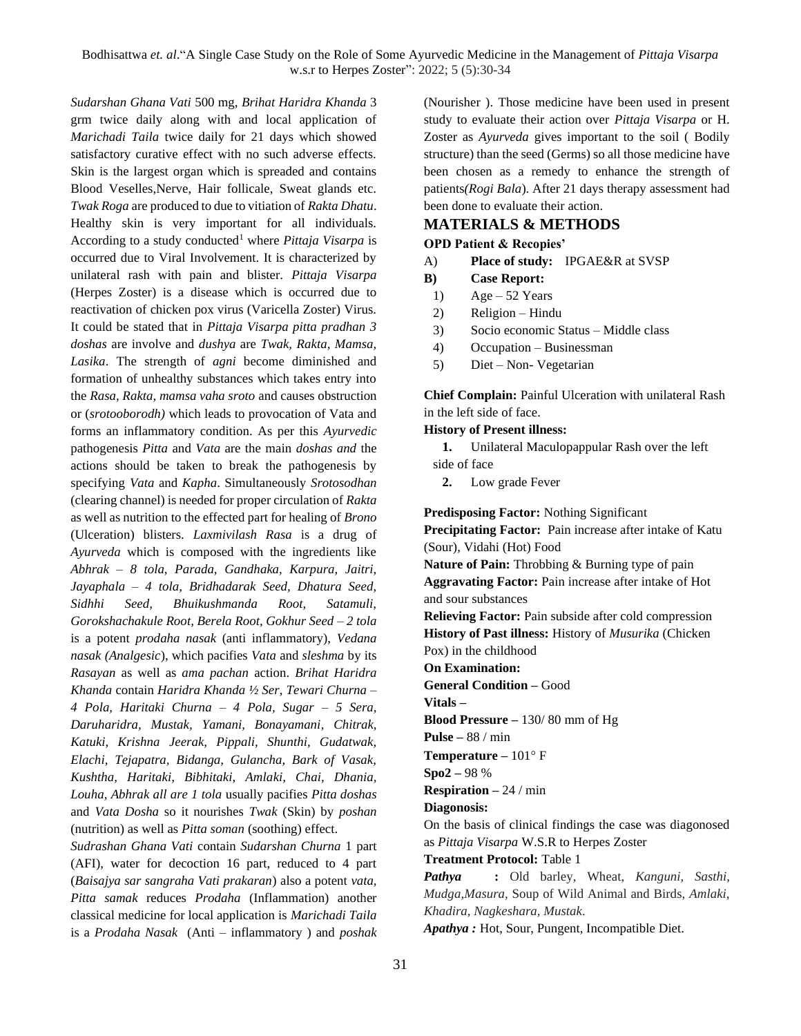*Sudarshan Ghana Vati* 500 mg, *Brihat Haridra Khanda* 3 grm twice daily along with and local application of *Marichadi Taila* twice daily for 21 days which showed satisfactory curative effect with no such adverse effects. Skin is the largest organ which is spreaded and contains Blood Veselles,Nerve, Hair follicale, Sweat glands etc. *Twak Roga* are produced to due to vitiation of *Rakta Dhatu*. Healthy skin is very important for all individuals. According to a study conducted<sup>1</sup> where *Pittaja Visarpa* is occurred due to Viral Involvement. It is characterized by unilateral rash with pain and blister. *Pittaja Visarpa*  (Herpes Zoster) is a disease which is occurred due to reactivation of chicken pox virus (Varicella Zoster) Virus. It could be stated that in *Pittaja Visarpa pitta pradhan 3 doshas* are involve and *dushya* are *Twak, Rakta, Mamsa, Lasika*. The strength of *agni* become diminished and formation of unhealthy substances which takes entry into the *Rasa, Rakta, mamsa vaha sroto* and causes obstruction or (*srotooborodh)* which leads to provocation of Vata and forms an inflammatory condition. As per this *Ayurvedic* pathogenesis *Pitta* and *Vata* are the main *doshas and* the actions should be taken to break the pathogenesis by specifying *Vata* and *Kapha*. Simultaneously *Srotosodhan* (clearing channel) is needed for proper circulation of *Rakta* as well as nutrition to the effected part for healing of *Brono* (Ulceration) blisters. *Laxmivilash Rasa* is a drug of *Ayurveda* which is composed with the ingredients like *Abhrak – 8 tola*, *Parada, Gandhaka, Karpura, Jaitri, Jayaphala – 4 tola, Bridhadarak Seed, Dhatura Seed, Sidhhi Seed, Bhuikushmanda Root, Satamuli, Gorokshachakule Root, Berela Root, Gokhur Seed – 2 tola* is a potent *prodaha nasak* (anti inflammatory), *Vedana nasak (Analgesic*), which pacifies *Vata* and *sleshma* by its *Rasayan* as well as *ama pachan* action. *Brihat Haridra Khanda* contain *Haridra Khanda ½ Ser*, *Tewari Churna – 4 Pola, Haritaki Churna – 4 Pola, Sugar – 5 Sera, Daruharidra, Mustak, Yamani, Bonayamani*, *Chitrak, Katuki, Krishna Jeerak, Pippali, Shunthi, Gudatwak, Elachi, Tejapatra, Bidanga, Gulancha, Bark of Vasak, Kushtha, Haritaki, Bibhitaki, Amlaki, Chai, Dhania, Louha, Abhrak all are 1 tola* usually pacifies *Pitta doshas* and *Vata Dosha* so it nourishes *Twak* (Skin) by *poshan* (nutrition) as well as *Pitta soman* (soothing) effect.

*Sudrashan Ghana Vati* contain *Sudarshan Churna* 1 part (AFI), water for decoction 16 part, reduced to 4 part (*Baisajya sar sangraha Vati prakaran*) also a potent *vata, Pitta samak* reduces *Prodaha* (Inflammation) another classical medicine for local application is *Marichadi Taila* is a *Prodaha Nasak* (Anti – inflammatory ) and *poshak*  (Nourisher ). Those medicine have been used in present study to evaluate their action over *Pittaja Visarpa* or H. Zoster as *Ayurveda* gives important to the soil ( Bodily structure) than the seed (Germs) so all those medicine have been chosen as a remedy to enhance the strength of patients*(Rogi Bala*). After 21 days therapy assessment had been done to evaluate their action.

## **MATERIALS & METHODS**

#### **OPD Patient & Recopies'**

- A) **Place of study:** IPGAE&R at SVSP
- **B) Case Report:**
- 1) Age 52 Years
- 2) Religion Hindu
- 3) Socio economic Status Middle class
- 4) Occupation Businessman
- 5) Diet Non- Vegetarian

**Chief Complain:** Painful Ulceration with unilateral Rash in the left side of face.

#### **History of Present illness:**

**1.** Unilateral Maculopappular Rash over the left side of face

**2.** Low grade Fever

**Predisposing Factor:** Nothing Significant **Precipitating Factor:** Pain increase after intake of Katu (Sour), Vidahi (Hot) Food **Nature of Pain:** Throbbing & Burning type of pain **Aggravating Factor:** Pain increase after intake of Hot and sour substances

**Relieving Factor:** Pain subside after cold compression **History of Past illness:** History of *Musurika* (Chicken Pox) in the childhood

**On Examination:** 

**General Condition –** Good

**Vitals –**

**Blood Pressure –** 130/ 80 mm of Hg

**Pulse –** 88 / min

Temperature – 101° F

**Spo2 –** 98 %

**Respiration –** 24 / min

**Diagonosis:**

On the basis of clinical findings the case was diagonosed as *Pittaja Visarpa* W.S.R to Herpes Zoster

**Treatment Protocol:** Table 1

*Pathya* **:** Old barley, Wheat, *Kanguni, Sasthi, Mudga,Masura,* Soup of Wild Animal and Birds, *Amlaki, Khadira, Nagkeshara, Mustak*.

*Apathya :* Hot, Sour, Pungent, Incompatible Diet.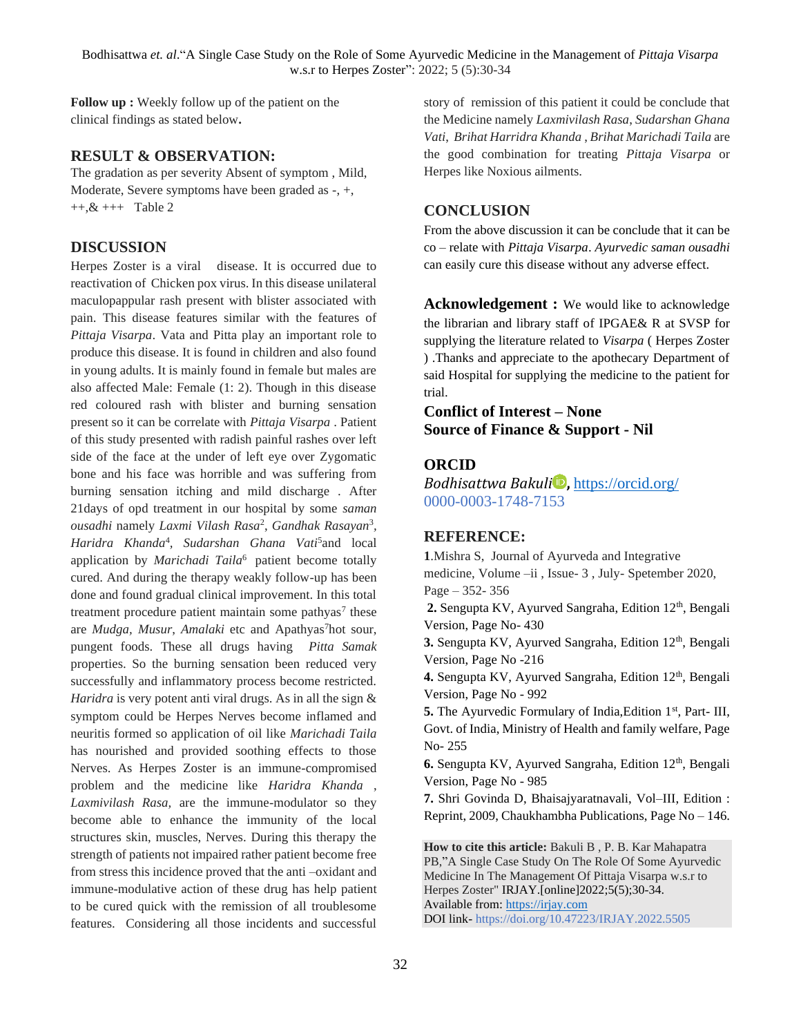**Follow up :** Weekly follow up of the patient on the clinical findings as stated below**.**

## **RESULT & OBSERVATION:**

The gradation as per severity Absent of symptom , Mild, Moderate, Severe symptoms have been graded as -, +,  $+, & +, & ++$  Table 2

## **DISCUSSION**

Herpes Zoster is a viral disease. It is occurred due to reactivation of Chicken pox virus. In this disease unilateral maculopappular rash present with blister associated with pain. This disease features similar with the features of *Pittaja Visarpa*. Vata and Pitta play an important role to produce this disease. It is found in children and also found in young adults. It is mainly found in female but males are also affected Male: Female (1: 2). Though in this disease red coloured rash with blister and burning sensation present so it can be correlate with *Pittaja Visarpa* . Patient of this study presented with radish painful rashes over left side of the face at the under of left eye over Zygomatic bone and his face was horrible and was suffering from burning sensation itching and mild discharge . After 21days of opd treatment in our hospital by some *saman ousadhi* namely *Laxmi Vilash Rasa*<sup>2</sup> , *Gandhak Rasayan*<sup>3</sup> *, Haridra Khanda*<sup>4</sup> *, Sudarshan Ghana Vati*<sup>5</sup> and local application by *Marichadi Taila*<sup>6</sup> patient become totally cured. And during the therapy weakly follow-up has been done and found gradual clinical improvement. In this total treatment procedure patient maintain some pathyas<sup>7</sup> these are *Mudga, Musur, Amalaki* etc and Apathyas<sup>7</sup>hot sour, pungent foods. These all drugs having *Pitta Samak*  properties. So the burning sensation been reduced very successfully and inflammatory process become restricted. *Haridra* is very potent anti viral drugs. As in all the sign & symptom could be Herpes Nerves become inflamed and neuritis formed so application of oil like *Marichadi Taila* has nourished and provided soothing effects to those Nerves. As Herpes Zoster is an immune-compromised problem and the medicine like *Haridra Khanda* , *Laxmivilash Rasa,* are the immune-modulator so they become able to enhance the immunity of the local structures skin, muscles, Nerves. During this therapy the strength of patients not impaired rather patient become free from stress this incidence proved that the anti –oxidant and immune-modulative action of these drug has help patient to be cured quick with the remission of all troublesome features. Considering all those incidents and successful

story of remission of this patient it could be conclude that the Medicine namely *Laxmivilash Rasa*, *Sudarshan Ghana Vati*, *Brihat Harridra Khanda* , *Brihat Marichadi Taila* are the good combination for treating *Pittaja Visarpa* or Herpes like Noxious ailments.

## **CONCLUSION**

From the above discussion it can be conclude that it can be co – relate with *Pittaja Visarpa*. *Ayurvedic saman ousadhi* can easily cure this disease without any adverse effect.

Acknowledgement : We would like to acknowledge the librarian and library staff of IPGAE& R at SVSP for supplying the literature related to *Visarpa* ( Herpes Zoster ) .Thanks and appreciate to the apothecary Department of said Hospital for supplying the medicine to the patient for trial.

**Conflict of Interest – None Source of Finance & Support - Nil**

## **ORCID**

*Bodhisattwa Bakuli* **,** <https://orcid.org/> 0000-0003-1748-7153

## **REFERENCE:**

**1**.Mishra S, Journal of Ayurveda and Integrative medicine, Volume –ii , Issue- 3 , July- Spetember 2020, Page – 352- 356 **2.** Sengupta KV, Ayurved Sangraha, Edition 12th, Bengali

Version, Page No- 430

**3.** Sengupta KV, Ayurved Sangraha, Edition 12<sup>th</sup>, Bengali Version, Page No -216

4. Sengupta KV, Ayurved Sangraha, Edition 12<sup>th</sup>, Bengali Version, Page No - 992

**5.** The Ayurvedic Formulary of India, Edition 1<sup>st</sup>, Part- III, Govt. of India, Ministry of Health and family welfare, Page No- 255

**6.** Sengupta KV, Ayurved Sangraha, Edition 12<sup>th</sup>, Bengali Version, Page No - 985

**7.** Shri Govinda D, Bhaisajyaratnavali, Vol–III, Edition : Reprint, 2009, Chaukhambha Publications, Page No – 146.

**How to cite this article:** Bakuli B , P. B. Kar Mahapatra PB,"A Single Case Study On The Role Of Some Ayurvedic Medicine In The Management Of Pittaja Visarpa w.s.r to Herpes Zoster" IRJAY.[online]2022;5(5);30-34. Available from: [https://irjay.com](https://irjay.com/) DOI link- https://doi.org/10.47223/IRJAY.2022.5505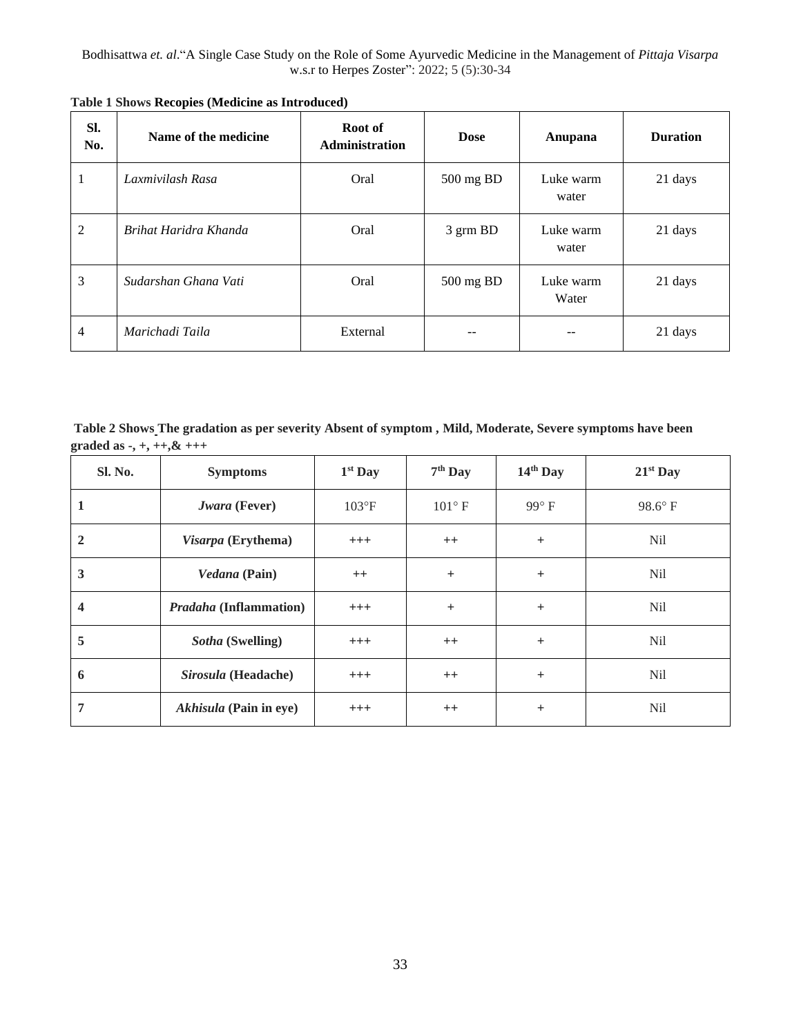| SI.<br>No.     | Name of the medicine  | Root of<br>Administration | <b>Dose</b> | Anupana            | <b>Duration</b> |
|----------------|-----------------------|---------------------------|-------------|--------------------|-----------------|
| 1              | Laxmivilash Rasa      | Oral                      | 500 mg BD   | Luke warm<br>water | 21 days         |
| $\overline{2}$ | Brihat Haridra Khanda | Oral                      | 3 grm BD    | Luke warm<br>water | 21 days         |
| 3              | Sudarshan Ghana Vati  | Oral                      | 500 mg BD   | Luke warm<br>Water | 21 days         |
| 4              | Marichadi Taila       | External                  | --          | --                 | 21 days         |

**Table 1 Shows Recopies (Medicine as Introduced)** 

**Table 2 Shows The gradation as per severity Absent of symptom , Mild, Moderate, Severe symptoms have been graded as -, +, ++,& +++** 

| Sl. No.                 | <b>Symptoms</b>               | $1st$ Day      | $7th$ Day       | $14th$ Day   | $21st$ Day       |
|-------------------------|-------------------------------|----------------|-----------------|--------------|------------------|
| 1                       | Jwara (Fever)                 | $103^{\circ}F$ | $101^{\circ}$ F | $99^\circ F$ | $98.6^{\circ}$ F |
| $\overline{2}$          | Visarpa (Erythema)            | $^{+++}$       | $^{++}$         | $^{+}$       | N <sub>il</sub>  |
| $\overline{\mathbf{3}}$ | Vedana (Pain)                 | $++$           | $+$             | $+$          | N <sub>il</sub>  |
| $\overline{\mathbf{4}}$ | <b>Pradaha</b> (Inflammation) | $+++$          | $+$             | $+$          | N <sub>il</sub>  |
| 5                       | Sotha (Swelling)              | $^{+++}$       | $++$            | $+$          | N <sub>il</sub>  |
| 6                       | Sirosula (Headache)           | $+++$          | $++$            | $+$          | N <sub>il</sub>  |
| 7                       | Akhisula (Pain in eye)        | $^{+++}$       | $^{++}$         | $^{+}$       | N <sub>il</sub>  |